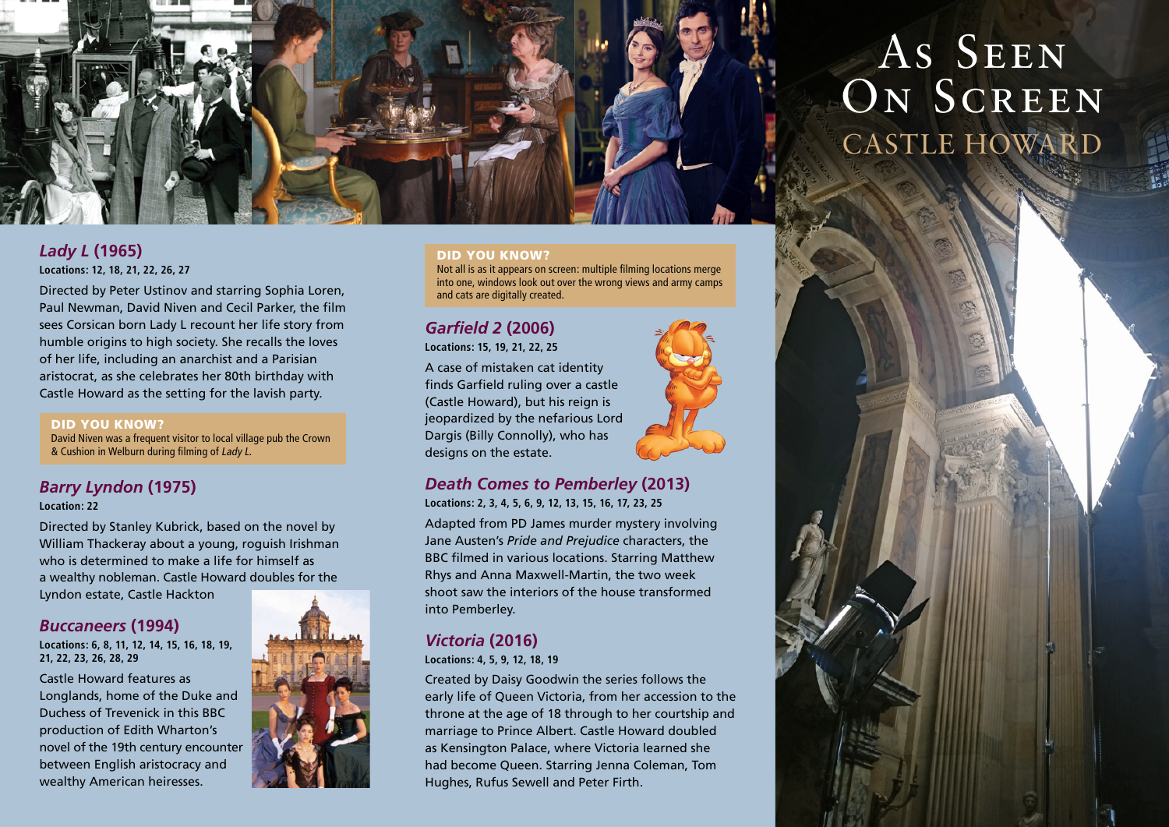

## *Lady L* **(1965) Locations: 12, 18, 21, 22, 26, 27**

Directed by Peter Ustinov and starring Sophia Loren, Paul Newman, David Niven and Cecil Parker, the film sees Corsican born Lady L recount her life story from humble origins to high society. She recalls the loves of her life, including an anarchist and a Parisian aristocrat, as she celebrates her 80th birthday with Castle Howard as the setting for the lavish party.

#### DID YOU KNOW?

David Niven was a frequent visitor to local village pub the Crown & Cushion in Welburn during filming of Lady L.

# *Barry Lyndon* **(1975)**

**Location: 22**

Directed by Stanley Kubrick, based on the novel by William Thackeray about a young, roguish Irishman who is determined to make a life for himself as a wealthy nobleman. Castle Howard doubles for the Lyndon estate, Castle Hackton

# *Buccaneers* **(1994)**

**Locations: 6, 8, 11, 12, 14, 15, 16, 18, 19, 21, 22, 23, 26, 28, 29** 

Castle Howard features as Longlands, home of the Duke and Duchess of Trevenick in this BBC production of Edith Wharton's novel of the 19th century encounter between English aristocracy and wealthy American heiresses.



#### DID YOU KNOW?

Not all is as it appears on screen: multiple filming locations merge into one, windows look out over the wrong views and army camps and cats are digitally created.

# *Garfield 2* **(2006)**

**Locations: 15, 19, 21, 22, 25**

A case of mistaken cat identity finds Garfield ruling over a castle (Castle Howard), but his reign is jeopardized by the nefarious Lord Dargis (Billy Connolly), who has designs on the estate.



## *Death Comes to Pemberley* **(2013) Locations: 2, 3, 4, 5, 6, 9, 12, 13, 15, 16, 17, 23, 25**

Adapted from PD James murder mystery involving Jane Austen's *Pride and Prejudice* characters, the BBC filmed in various locations. Starring Matthew Rhys and Anna Maxwell-Martin, the two week shoot saw the interiors of the house transformed into Pemberley.

## *Victoria* **(2016)**

**Locations: 4, 5, 9, 12, 18, 19**

Created by Daisy Goodwin the series follows the early life of Queen Victoria, from her accession to the throne at the age of 18 through to her courtship and marriage to Prince Albert. Castle Howard doubled as Kensington Palace, where Victoria learned she had become Queen. Starring Jenna Coleman, Tom Hughes, Rufus Sewell and Peter Firth.

# AS SEEN ON SCREEN CASTLE HOWARD